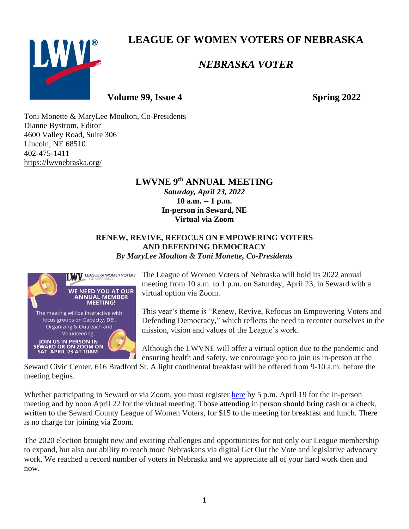**LEAGUE OF WOMEN VOTERS OF NEBRASKA**



# *NEBRASKA VOTER*

**Volume 99, Issue 4 Spring 2022** 

Toni Monette & MaryLee Moulton, Co-Presidents Dianne Bystrom, Editor 4600 Valley Road, Suite 306 Lincoln, NE 68510 402-475-1411 <https://lwvnebraska.org/>

### **LWVNE 9 th ANNUAL MEETING** *Saturday, April 23, 2022* **10 a.m. -- 1 p.m. In-person in Seward, NE Virtual via Zoom**

### **RENEW, REVIVE, REFOCUS ON EMPOWERING VOTERS AND DEFENDING DEMOCRACY** *By MaryLee Moulton & Toni Monette, Co-Presidents*



The League of Women Voters of Nebraska will hold its 2022 annual meeting from 10 a.m. to 1 p.m. on Saturday, April 23, in Seward with a virtual option via Zoom.

This year's theme is "Renew, Revive, Refocus on Empowering Voters and Defending Democracy," which reflects the need to recenter ourselves in the mission, vision and values of the League's work.

Although the LWVNE will offer a virtual option due to the pandemic and ensuring health and safety, we encourage you to join us in-person at the

Seward Civic Center, 616 Bradford St. A light continental breakfast will be offered from 9-10 a.m. before the meeting begins.

Whether participating in Seward or via Zoom, you must register [here](https://docs.google.com/forms/d/e/1FAIpQLSfHw0fRjcQ3zGkzF-CPEdfpZw5SfIF-3cA1Z-M5UXxlWuJO4g/viewform) by 5 p.m. April 19 for the in-person meeting and by noon April 22 for the virtual meeting. Those attending in person should bring cash or a check, written to the Seward County League of Women Voters, for \$15 to the meeting for breakfast and lunch. There is no charge for joining via Zoom.

The 2020 election brought new and exciting challenges and opportunities for not only our League membership to expand, but also our ability to reach more Nebraskans via digital Get Out the Vote and legislative advocacy work. We reached a record number of voters in Nebraska and we appreciate all of your hard work then and now.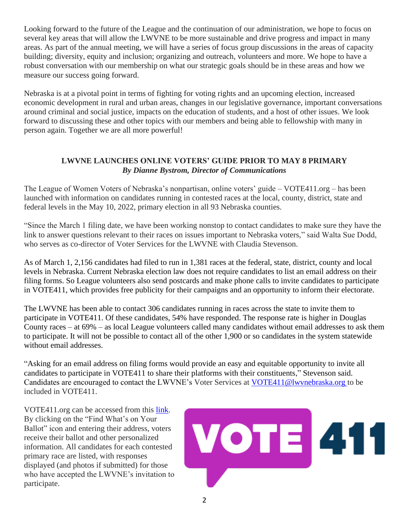Looking forward to the future of the League and the continuation of our administration, we hope to focus on several key areas that will allow the LWVNE to be more sustainable and drive progress and impact in many areas. As part of the annual meeting, we will have a series of focus group discussions in the areas of capacity building; diversity, equity and inclusion; organizing and outreach, volunteers and more. We hope to have a robust conversation with our membership on what our strategic goals should be in these areas and how we measure our success going forward.

Nebraska is at a pivotal point in terms of fighting for voting rights and an upcoming election, increased economic development in rural and urban areas, changes in our legislative governance, important conversations around criminal and social justice, impacts on the education of students, and a host of other issues. We look forward to discussing these and other topics with our members and being able to fellowship with many in person again. Together we are all more powerful!

### **LWVNE LAUNCHES ONLINE VOTERS' GUIDE PRIOR TO MAY 8 PRIMARY** *By Dianne Bystrom, Director of Communications*

The League of Women Voters of Nebraska's nonpartisan, online voters' guide – VOTE411.org – has been launched with information on candidates running in contested races at the local, county, district, state and federal levels in the May 10, 2022, primary election in all 93 Nebraska counties.

"Since the March 1 filing date, we have been working nonstop to contact candidates to make sure they have the link to answer questions relevant to their races on issues important to Nebraska voters," said Walta Sue Dodd, who serves as co-director of Voter Services for the LWVNE with Claudia Stevenson.

As of March 1, 2,156 candidates had filed to run in 1,381 races at the federal, state, district, county and local levels in Nebraska. Current Nebraska election law does not require candidates to list an email address on their filing forms. So League volunteers also send postcards and make phone calls to invite candidates to participate in VOTE411, which provides free publicity for their campaigns and an opportunity to inform their electorate.

The LWVNE has been able to contact 306 candidates running in races across the state to invite them to participate in VOTE411. Of these candidates, 54% have responded. The response rate is higher in Douglas County races – at 69% – as local League volunteers called many candidates without email addresses to ask them to participate. It will not be possible to contact all of the other 1,900 or so candidates in the system statewide without email addresses.

"Asking for an email address on filing forms would provide an easy and equitable opportunity to invite all candidates to participate in VOTE411 to share their platforms with their constituents," Stevenson said. Candidates are encouraged to contact the LWVNE's Voter Services at [VOTE411@lwvnebraska.org](mailto:VOTE411@lwvnebraska.org) to be included in VOTE411.

VOTE411.org can be accessed from this [link.](https://www.vote411.org/) By clicking on the "Find What's on Your Ballot" icon and entering their address, voters receive their ballot and other personalized information. All candidates for each contested primary race are listed, with responses displayed (and photos if submitted) for those who have accepted the LWVNE's invitation to participate.

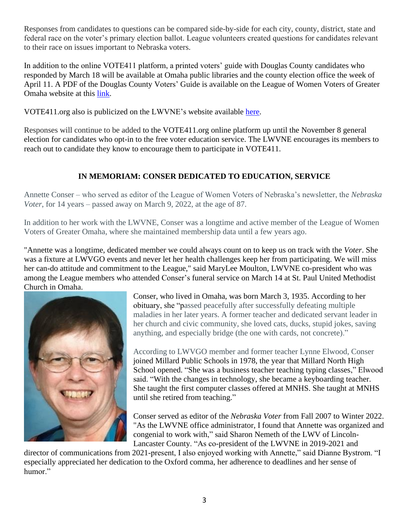Responses from candidates to questions can be compared side-by-side for each city, county, district, state and federal race on the voter's primary election ballot. League volunteers created questions for candidates relevant to their race on issues important to Nebraska voters.

In addition to the online VOTE411 platform, a printed voters' guide with Douglas County candidates who responded by March 18 will be available at Omaha public libraries and the county election office the week of April 11. A PDF of the Douglas County Voters' Guide is available on the League of Women Voters of Greater Omaha website at this [link.](https://www.lwvgo.org/wp-content/uploads/2022/03/Primary-2022-LWVGO-Voters-Guide.pdf.)

VOTE411.org also is publicized on the LWVNE's website available [here.](https://lwvnebraska.org/)

Responses will continue to be added to the VOTE411.org online platform up until the November 8 general election for candidates who opt-in to the free voter education service. The LWVNE encourages its members to reach out to candidate they know to encourage them to participate in VOTE411.

# **IN MEMORIAM: CONSER DEDICATED TO EDUCATION, SERVICE**

Annette Conser – who served as editor of the League of Women Voters of Nebraska's newsletter, the *Nebraska Voter*, for 14 years – passed away on March 9, 2022, at the age of 87.

In addition to her work with the LWVNE, Conser was a longtime and active member of the League of Women Voters of Greater Omaha, where she maintained membership data until a few years ago.

"Annette was a longtime, dedicated member we could always count on to keep us on track with the *Voter*. She was a fixture at LWVGO events and never let her health challenges keep her from participating. We will miss her can-do attitude and commitment to the League," said MaryLee Moulton, LWVNE co-president who was among the League members who attended Conser's funeral service on March 14 at St. Paul United Methodist Church in Omaha.



Conser, who lived in Omaha, was born March 3, 1935. According to her obituary, she "passed peacefully after successfully defeating multiple maladies in her later years. A former teacher and dedicated servant leader in her church and civic community, she loved cats, ducks, stupid jokes, saving anything, and especially bridge (the one with cards, not concrete)."

According to LWVGO member and former teacher Lynne Elwood, Conser joined Millard Public Schools in 1978, the year that Millard North High School opened. "She was a business teacher teaching typing classes," Elwood said. "With the changes in technology, she became a keyboarding teacher. She taught the first computer classes offered at MNHS. She taught at MNHS until she retired from teaching."

Conser served as editor of the *Nebraska Voter* from Fall 2007 to Winter 2022. "As the LWVNE office administrator, I found that Annette was organized and congenial to work with," said Sharon Nemeth of the LWV of Lincoln-Lancaster County. "As co-president of the LWVNE in 2019-2021 and

director of communications from 2021-present, I also enjoyed working with Annette," said Dianne Bystrom. "I especially appreciated her dedication to the Oxford comma, her adherence to deadlines and her sense of humor."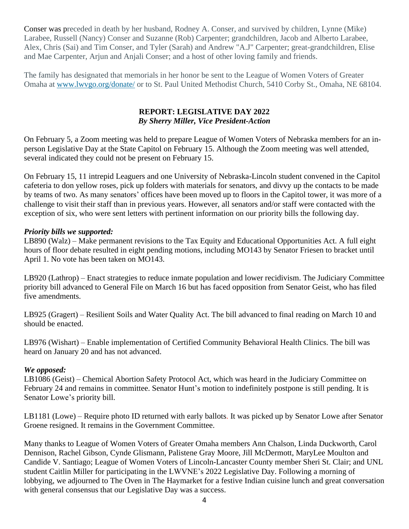Conser was preceded in death by her husband, Rodney A. Conser, and survived by children, Lynne (Mike) Larabee, Russell (Nancy) Conser and Suzanne (Rob) Carpenter; grandchildren, Jacob and Alberto Larabee, Alex, Chris (Sai) and Tim Conser, and Tyler (Sarah) and Andrew "A.J" Carpenter; great-grandchildren, Elise and Mae Carpenter, Arjun and Anjali Conser; and a host of other loving family and friends.

The family has designated that memorials in her honor be sent to the League of Women Voters of Greater Omaha at [www.lwvgo.org/donate/](http://www.lwvgo.org/donate/) or to St. Paul United Methodist Church, 5410 Corby St., Omaha, NE 68104.

#### **REPORT: LEGISLATIVE DAY 2022** *By Sherry Miller, Vice President-Action*

On February 5, a Zoom meeting was held to prepare League of Women Voters of Nebraska members for an inperson Legislative Day at the State Capitol on February 15. Although the Zoom meeting was well attended, several indicated they could not be present on February 15.

On February 15, 11 intrepid Leaguers and one University of Nebraska-Lincoln student convened in the Capitol cafeteria to don yellow roses, pick up folders with materials for senators, and divvy up the contacts to be made by teams of two. As many senators' offices have been moved up to floors in the Capitol tower, it was more of a challenge to visit their staff than in previous years. However, all senators and/or staff were contacted with the exception of six, who were sent letters with pertinent information on our priority bills the following day.

### *Priority bills we supported:*

LB890 (Walz) – Make permanent revisions to the Tax Equity and Educational Opportunities Act. A full eight hours of floor debate resulted in eight pending motions, including MO143 by Senator Friesen to bracket until April 1. No vote has been taken on MO143.

LB920 (Lathrop) – Enact strategies to reduce inmate population and lower recidivism. The Judiciary Committee priority bill advanced to General File on March 16 but has faced opposition from Senator Geist, who has filed five amendments.

LB925 (Gragert) – Resilient Soils and Water Quality Act. The bill advanced to final reading on March 10 and should be enacted.

LB976 (Wishart) – Enable implementation of Certified Community Behavioral Health Clinics. The bill was heard on January 20 and has not advanced.

### *We opposed:*

LB1086 (Geist) – Chemical Abortion Safety Protocol Act, which was heard in the Judiciary Committee on February 24 and remains in committee. Senator Hunt's motion to indefinitely postpone is still pending. It is Senator Lowe's priority bill.

LB1181 (Lowe) – Require photo ID returned with early ballots. It was picked up by Senator Lowe after Senator Groene resigned. It remains in the Government Committee.

Many thanks to League of Women Voters of Greater Omaha members Ann Chalson, Linda Duckworth, Carol Dennison, Rachel Gibson, Cynde Glismann, Palistene Gray Moore, Jill McDermott, MaryLee Moulton and Candide V. Santiago; League of Women Voters of Lincoln-Lancaster County member Sheri St. Clair; and UNL student Caitlin Miller for participating in the LWVNE's 2022 Legislative Day. Following a morning of lobbying, we adjourned to The Oven in The Haymarket for a festive Indian cuisine lunch and great conversation with general consensus that our Legislative Day was a success.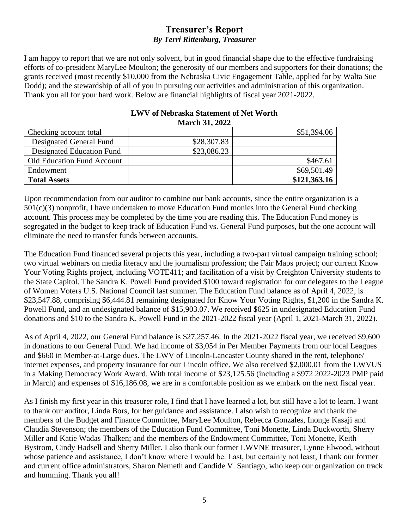## **Treasurer's Report** *By Terri Rittenburg, Treasurer*

I am happy to report that we are not only solvent, but in good financial shape due to the effective fundraising efforts of co-president MaryLee Moulton; the generosity of our members and supporters for their donations; the grants received (most recently \$10,000 from the Nebraska Civic Engagement Table, applied for by Walta Sue Dodd); and the stewardship of all of you in pursuing our activities and administration of this organization. Thank you all for your hard work. Below are financial highlights of fiscal year 2021-2022.

| Checking account total            |             | \$51,394.06  |
|-----------------------------------|-------------|--------------|
| Designated General Fund           | \$28,307.83 |              |
| Designated Education Fund         | \$23,086.23 |              |
| <b>Old Education Fund Account</b> |             | \$467.61     |
| Endowment                         |             | \$69,501.49  |
| <b>Total Assets</b>               |             | \$121,363.16 |

#### **LWV of Nebraska Statement of Net Worth March 31, 2022**

Upon recommendation from our auditor to combine our bank accounts, since the entire organization is a 501(c)(3) nonprofit, I have undertaken to move Education Fund monies into the General Fund checking account. This process may be completed by the time you are reading this. The Education Fund money is segregated in the budget to keep track of Education Fund vs. General Fund purposes, but the one account will eliminate the need to transfer funds between accounts.

The Education Fund financed several projects this year, including a two-part virtual campaign training school; two virtual webinars on media literacy and the journalism profession; the Fair Maps project; our current Know Your Voting Rights project, including VOTE411; and facilitation of a visit by Creighton University students to the State Capitol. The Sandra K. Powell Fund provided \$100 toward registration for our delegates to the League of Women Voters U.S. National Council last summer. The Education Fund balance as of April 4, 2022, is \$23,547.88, comprising \$6,444.81 remaining designated for Know Your Voting Rights, \$1,200 in the Sandra K. Powell Fund, and an undesignated balance of \$15,903.07. We received \$625 in undesignated Education Fund donations and \$10 to the Sandra K. Powell Fund in the 2021-2022 fiscal year (April 1, 2021-March 31, 2022).

As of April 4, 2022, our General Fund balance is \$27,257.46. In the 2021-2022 fiscal year, we received \$9,600 in donations to our General Fund. We had income of \$3,054 in Per Member Payments from our local Leagues and \$660 in Member-at-Large dues. The LWV of Lincoln-Lancaster County shared in the rent, telephone/ internet expenses, and property insurance for our Lincoln office. We also received \$2,000.01 from the LWVUS in a Making Democracy Work Award. With total income of \$23,125.56 (including a \$972 2022-2023 PMP paid in March) and expenses of \$16,186.08, we are in a comfortable position as we embark on the next fiscal year.

As I finish my first year in this treasurer role, I find that I have learned a lot, but still have a lot to learn. I want to thank our auditor, Linda Bors, for her guidance and assistance. I also wish to recognize and thank the members of the Budget and Finance Committee, MaryLee Moulton, Rebecca Gonzales, Inonge Kasaji and Claudia Stevenson; the members of the Education Fund Committee, Toni Monette, Linda Duckworth, Sherry Miller and Katie Wadas Thalken; and the members of the Endowment Committee, Toni Monette, Keith Bystrom, Cindy Hadsell and Sherry Miller. I also thank our former LWVNE treasurer, Lynne Elwood, without whose patience and assistance, I don't know where I would be. Last, but certainly not least, I thank our former and current office administrators, Sharon Nemeth and Candide V. Santiago, who keep our organization on track and humming. Thank you all!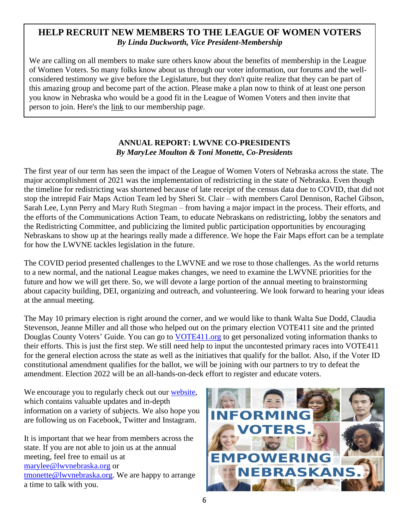# **HELP RECRUIT NEW MEMBERS TO THE LEAGUE OF WOMEN VOTERS** *By Linda Duckworth, Vice President-Membership*

We are calling on all members to make sure others know about the benefits of membership in the League of Women Voters. So many folks know about us through our voter information, our forums and the wellconsidered testimony we give before the Legislature, but they don't quite realize that they can be part of this amazing group and become part of the action. Please make a plan now to think of at least one person you know in Nebraska who would be a good fit in the League of Women Voters and then invite that person to join. Here's the [link](https://lwvnebraska.org/join/) to our membership page.

### **ANNUAL REPORT: LWVNE CO-PRESIDENTS** *By MaryLee Moulton & Toni Monette, Co-Presidents*

The first year of our term has seen the impact of the League of Women Voters of Nebraska across the state. The major accomplishment of 2021 was the implementation of redistricting in the state of Nebraska. Even though the timeline for redistricting was shortened because of late receipt of the census data due to COVID, that did not stop the intrepid Fair Maps Action Team led by Sheri St. Clair – with members Carol Dennison, Rachel Gibson, Sarah Lee, Lynn Perry and Mary Ruth Stegman – from having a major impact in the process. Their efforts, and the efforts of the Communications Action Team, to educate Nebraskans on redistricting, lobby the senators and the Redistricting Committee, and publicizing the limited public participation opportunities by encouraging Nebraskans to show up at the hearings really made a difference. We hope the Fair Maps effort can be a template for how the LWVNE tackles legislation in the future.

The COVID period presented challenges to the LWVNE and we rose to those challenges. As the world returns to a new normal, and the national League makes changes, we need to examine the LWVNE priorities for the future and how we will get there. So, we will devote a large portion of the annual meeting to brainstorming about capacity building, DEI, organizing and outreach, and volunteering. We look forward to hearing your ideas at the annual meeting.

The May 10 primary election is right around the corner, and we would like to thank Walta Sue Dodd, Claudia Stevenson, Jeanne Miller and all those who helped out on the primary election VOTE411 site and the printed Douglas County Voters' Guide. You can go to **VOTE411.org** to get personalized voting information thanks to their efforts. This is just the first step. We still need help to input the uncontested primary races into VOTE411 for the general election across the state as well as the initiatives that qualify for the ballot. Also, if the Voter ID constitutional amendment qualifies for the ballot, we will be joining with our partners to try to defeat the amendment. Election 2022 will be an all-hands-on-deck effort to register and educate voters.

We encourage you to regularly check out our [website,](https://lwvnebraska.org/) which contains valuable updates and in-depth information on a variety of subjects. We also hope you are following us on Facebook, Twitter and Instagram.

It is important that we hear from members across the state. If you are not able to join us at the annual meeting, feel free to email us at [marylee@lwvnebraska.org](mailto:marylee@lwvnebraska.org) or [tmonette@lwvnebraska.org.](mailto:tmonette@lwvnebraska.org) We are happy to arrange a time to talk with you.

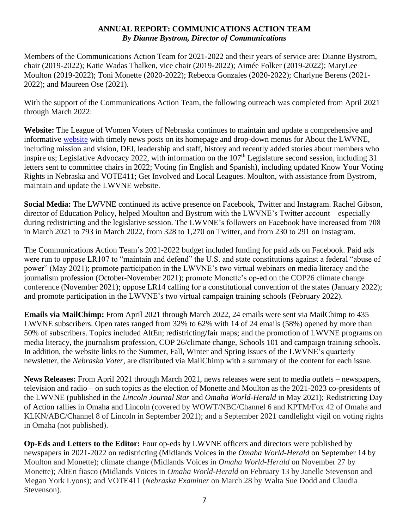### **ANNUAL REPORT: COMMUNICATIONS ACTION TEAM** *By Dianne Bystrom, Director of Communications*

Members of the Communications Action Team for 2021-2022 and their years of service are: Dianne Bystrom, chair (2019-2022); Katie Wadas Thalken, vice chair (2019-2022); Aimée Folker (2019-2022); MaryLee Moulton (2019-2022); Toni Monette (2020-2022); Rebecca Gonzales (2020-2022); Charlyne Berens (2021- 2022); and Maureen Ose (2021).

With the support of the Communications Action Team, the following outreach was completed from April 2021 through March 2022:

**Website:** The League of Women Voters of Nebraska continues to maintain and update a comprehensive and informative [website](https://lwvnebraska.org/) with timely news posts on its homepage and drop-down menus for About the LWVNE, including mission and vision, DEI, leadership and staff, history and recently added stories about members who inspire us; Legislative Advocacy 2022, with information on the  $107<sup>th</sup>$  Legislature second session, including 31 letters sent to committee chairs in 2022; Voting (in English and Spanish), including updated Know Your Voting Rights in Nebraska and VOTE411; Get Involved and Local Leagues. Moulton, with assistance from Bystrom, maintain and update the LWVNE website.

**Social Media:** The LWVNE continued its active presence on Facebook, Twitter and Instagram. Rachel Gibson, director of Education Policy, helped Moulton and Bystrom with the LWVNE's Twitter account – especially during redistricting and the legislative session. The LWVNE's followers on Facebook have increased from 708 in March 2021 to 793 in March 2022, from 328 to 1,270 on Twitter, and from 230 to 291 on Instagram.

The Communications Action Team's 2021-2022 budget included funding for paid ads on Facebook. Paid ads were run to oppose LR107 to "maintain and defend" the U.S. and state constitutions against a federal "abuse of power" (May 2021); promote participation in the LWVNE's two virtual webinars on media literacy and the journalism profession (October-November 2021); promote Monette's op-ed on the COP26 climate change conference (November 2021); oppose LR14 calling for a constitutional convention of the states (January 2022); and promote participation in the LWVNE's two virtual campaign training schools (February 2022).

**Emails via MailChimp:** From April 2021 through March 2022, 24 emails were sent via MailChimp to 435 LWVNE subscribers. Open rates ranged from 32% to 62% with 14 of 24 emails (58%) opened by more than 50% of subscribers. Topics included AltEn; redistricting/fair maps; and the promotion of LWVNE programs on media literacy, the journalism profession, COP 26/climate change, Schools 101 and campaign training schools. In addition, the website links to the Summer, Fall, Winter and Spring issues of the LWVNE's quarterly newsletter, the *Nebraska Voter*, are distributed via MailChimp with a summary of the content for each issue.

**News Releases:** From April 2021 through March 2021, news releases were sent to media outlets – newspapers, television and radio – on such topics as the election of Monette and Moulton as the 2021-2023 co-presidents of the LWVNE (published in the *Lincoln Journal Star* and *Omaha World-Herald* in May 2021); Redistricting Day of Action rallies in Omaha and Lincoln (covered by WOWT/NBC/Channel 6 and KPTM/Fox 42 of Omaha and KLKN/ABC/Channel 8 of Lincoln in September 2021); and a September 2021 candlelight vigil on voting rights in Omaha (not published).

**Op-Eds and Letters to the Editor:** Four op-eds by LWVNE officers and directors were published by newspapers in 2021-2022 on redistricting (Midlands Voices in the *Omaha World-Herald* on September 14 by Moulton and Monette); climate change (Midlands Voices in *Omaha World-Herald* on November 27 by Monette); AltEn fiasco (Midlands Voices in *Omaha World-Herald* on February 13 by Janelle Stevenson and Megan York Lyons); and VOTE411 (*Nebraska Examiner* on March 28 by Walta Sue Dodd and Claudia Stevenson).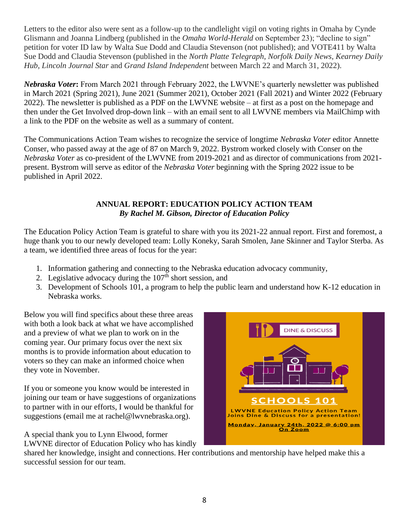Letters to the editor also were sent as a follow-up to the candlelight vigil on voting rights in Omaha by Cynde Glismann and Joanna Lindberg (published in the *Omaha World-Herald* on September 23); "decline to sign" petition for voter ID law by Walta Sue Dodd and Claudia Stevenson (not published); and VOTE411 by Walta Sue Dodd and Claudia Stevenson (published in the *North Platte Telegraph*, *Norfolk Daily News*, *Kearney Daily Hub*, *Lincoln Journal Star* and *Grand Island Independent* between March 22 and March 31, 2022).

*Nebraska Voter***:** From March 2021 through February 2022, the LWVNE's quarterly newsletter was published in March 2021 (Spring 2021), June 2021 (Summer 2021), October 2021 (Fall 2021) and Winter 2022 (February 2022). The newsletter is published as a PDF on the LWVNE website – at first as a post on the homepage and then under the Get Involved drop-down link – with an email sent to all LWVNE members via MailChimp with a link to the PDF on the website as well as a summary of content.

The Communications Action Team wishes to recognize the service of longtime *Nebraska Voter* editor Annette Conser, who passed away at the age of 87 on March 9, 2022. Bystrom worked closely with Conser on the *Nebraska Voter* as co-president of the LWVNE from 2019-2021 and as director of communications from 2021 present. Bystrom will serve as editor of the *Nebraska Voter* beginning with the Spring 2022 issue to be published in April 2022.

### **ANNUAL REPORT: EDUCATION POLICY ACTION TEAM** *By Rachel M. Gibson, Director of Education Policy*

The Education Policy Action Team is grateful to share with you its 2021-22 annual report. First and foremost, a huge thank you to our newly developed team: Lolly Koneky, Sarah Smolen, Jane Skinner and Taylor Sterba. As a team, we identified three areas of focus for the year:

- 1. Information gathering and connecting to the Nebraska education advocacy community,
- 2. Legislative advocacy during the  $107<sup>th</sup>$  short session, and
- 3. Development of Schools 101, a program to help the public learn and understand how K-12 education in Nebraska works.

Below you will find specifics about these three areas with both a look back at what we have accomplished and a preview of what we plan to work on in the coming year. Our primary focus over the next six months is to provide information about education to voters so they can make an informed choice when they vote in November.

If you or someone you know would be interested in joining our team or have suggestions of organizations to partner with in our efforts, I would be thankful for suggestions (email me at rachel@lwvnebraska.org).

A special thank you to Lynn Elwood, former LWVNE director of Education Policy who has kindly



shared her knowledge, insight and connections. Her contributions and mentorship have helped make this a successful session for our team.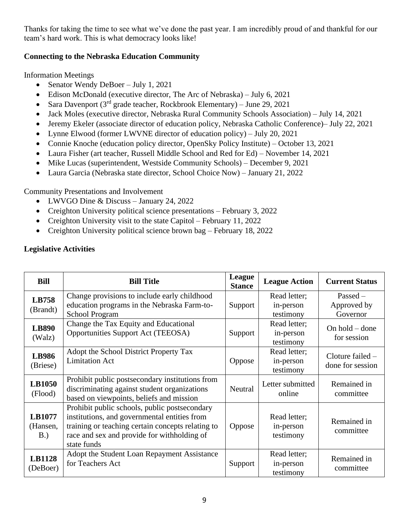Thanks for taking the time to see what we've done the past year. I am incredibly proud of and thankful for our team's hard work. This is what democracy looks like!

### **Connecting to the Nebraska Education Community**

Information Meetings

- Senator Wendy DeBoer July 1, 2021
- Edison McDonald (executive director, The Arc of Nebraska) July 6, 2021
- Sara Davenport  $(3<sup>rd</sup>$  grade teacher, Rockbrook Elementary) June 29, 2021
- Jack Moles (executive director, Nebraska Rural Community Schools Association) July 14, 2021
- Jeremy Ekeler (associate director of education policy, Nebraska Catholic Conference)– July 22, 2021
- Lynne Elwood (former LWVNE director of education policy) July 20, 2021
- Connie Knoche (education policy director, OpenSky Policy Institute) October 13, 2021
- Laura Fisher (art teacher, Russell Middle School and Red for Ed) November 14, 2021
- Mike Lucas (superintendent, Westside Community Schools) December 9, 2021
- Laura Garcia (Nebraska state director, School Choice Now) January 21, 2022

Community Presentations and Involvement

- LWVGO Dine & Discuss January 24, 2022
- Creighton University political science presentations February 3, 2022
- Creighton University visit to the state Capitol February 11, 2022
- Creighton University political science brown bag February 18, 2022

| <b>Bill</b>               | <b>Bill Title</b>                                                                                                                                                                                                | League<br><b>Stance</b> | <b>League Action</b>                   | <b>Current Status</b>                  |
|---------------------------|------------------------------------------------------------------------------------------------------------------------------------------------------------------------------------------------------------------|-------------------------|----------------------------------------|----------------------------------------|
| LB758<br>(Brandt)         | Change provisions to include early childhood<br>education programs in the Nebraska Farm-to-<br><b>School Program</b>                                                                                             | Support                 | Read letter;<br>in-person<br>testimony | $Passed -$<br>Approved by<br>Governor  |
| <b>LB890</b><br>(Walz)    | Change the Tax Equity and Educational<br>Opportunities Support Act (TEEOSA)                                                                                                                                      | Support                 | Read letter;<br>in-person<br>testimony | On $hold$ – done<br>for session        |
| <b>LB986</b><br>(Briese)  | Adopt the School District Property Tax<br><b>Limitation Act</b>                                                                                                                                                  | Oppose                  | Read letter;<br>in-person<br>testimony | Cloture failed $-$<br>done for session |
| <b>LB1050</b><br>(Flood)  | Prohibit public postsecondary institutions from<br>discriminating against student organizations<br>based on viewpoints, beliefs and mission                                                                      | Neutral                 | Letter submitted<br>online             | Remained in<br>committee               |
| LB1077<br>(Hansen,<br>B.  | Prohibit public schools, public postsecondary<br>institutions, and governmental entities from<br>training or teaching certain concepts relating to<br>race and sex and provide for withholding of<br>state funds | Oppose                  | Read letter;<br>in-person<br>testimony | Remained in<br>committee               |
| <b>LB1128</b><br>(DeBoer) | Adopt the Student Loan Repayment Assistance<br>for Teachers Act                                                                                                                                                  | Support                 | Read letter;<br>in-person<br>testimony | Remained in<br>committee               |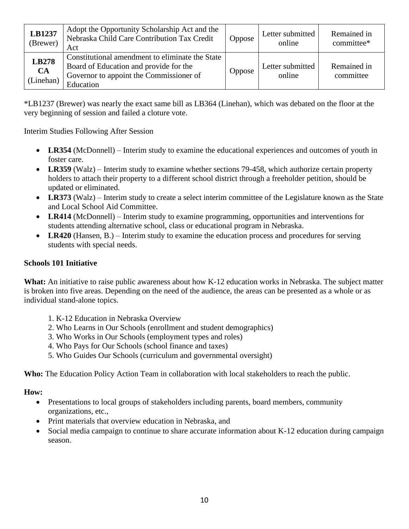| LB1237<br>(Brewer)              | Adopt the Opportunity Scholarship Act and the<br>Nebraska Child Care Contribution Tax Credit<br>Act                                               | Oppose        | Letter submitted<br>online | Remained in<br>committee* |
|---------------------------------|---------------------------------------------------------------------------------------------------------------------------------------------------|---------------|----------------------------|---------------------------|
| LB278<br><b>CA</b><br>(Linehan) | Constitutional amendment to eliminate the State<br>Board of Education and provide for the<br>Governor to appoint the Commissioner of<br>Education | <b>Oppose</b> | Letter submitted<br>online | Remained in<br>committee  |

\*LB1237 (Brewer) was nearly the exact same bill as LB364 (Linehan), which was debated on the floor at the very beginning of session and failed a cloture vote.

Interim Studies Following After Session

- LR354 (McDonnell) Interim study to examine the educational experiences and outcomes of youth in foster care.
- **LR359** (Walz) Interim study to examine whether sections 79-458, which authorize certain property holders to attach their property to a different school district through a freeholder petition, should be updated or eliminated.
- LR373 (Walz) Interim study to create a select interim committee of the Legislature known as the State and Local School Aid Committee.
- **LR414** (McDonnell) Interim study to examine programming, opportunities and interventions for students attending alternative school, class or educational program in Nebraska.
- LR420 (Hansen, B.) Interim study to examine the education process and procedures for serving students with special needs.

### **Schools 101 Initiative**

**What:** An initiative to raise public awareness about how K-12 education works in Nebraska. The subject matter is broken into five areas. Depending on the need of the audience, the areas can be presented as a whole or as individual stand-alone topics.

- 1. K-12 Education in Nebraska Overview
- 2. Who Learns in Our Schools (enrollment and student demographics)
- 3. Who Works in Our Schools (employment types and roles)
- 4. Who Pays for Our Schools (school finance and taxes)
- 5. Who Guides Our Schools (curriculum and governmental oversight)

**Who:** The Education Policy Action Team in collaboration with local stakeholders to reach the public.

### **How:**

- Presentations to local groups of stakeholders including parents, board members, community organizations, etc.,
- Print materials that overview education in Nebraska, and
- Social media campaign to continue to share accurate information about K-12 education during campaign season.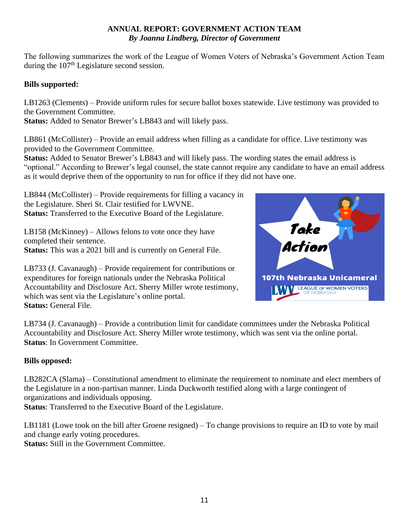### **ANNUAL REPORT: GOVERNMENT ACTION TEAM** *By Joanna Lindberg, Director of Government*

The following summarizes the work of the League of Women Voters of Nebraska's Government Action Team during the 107<sup>th</sup> Legislature second session.

### **Bills supported:**

LB1263 (Clements) – Provide uniform rules for secure ballot boxes statewide. Live testimony was provided to the Government Committee.

**Status:** Added to Senator Brewer's LB843 and will likely pass.

LB861 (McCollister) – Provide an email address when filling as a candidate for office. Live testimony was provided to the Government Committee.

**Status:** Added to Senator Brewer's LB843 and will likely pass. The wording states the email address is "optional." According to Brewer's legal counsel, the state cannot require any candidate to have an email address as it would deprive them of the opportunity to run for office if they did not have one.

LB844 (McCollister) – Provide requirements for filling a vacancy in the Legislature. Sheri St. Clair testified for LWVNE. **Status:** Transferred to the Executive Board of the Legislature.

LB158 (McKinney) – Allows felons to vote once they have completed their sentence. **Status:** This was a 2021 bill and is currently on General File.

LB733 (J. Cavanaugh) – Provide requirement for contributions or expenditures for foreign nationals under the Nebraska Political Accountability and Disclosure Act. Sherry Miller wrote testimony, which was sent via the Legislature's online portal. **Status:** General File.



LB734 (J. Cavanaugh) – Provide a contribution limit for candidate committees under the Nebraska Political Accountability and Disclosure Act. Sherry Miller wrote testimony, which was sent via the online portal. **Status**: In Government Committee.

### **Bills opposed:**

LB282CA (Slama) – Constitutional amendment to eliminate the requirement to nominate and elect members of the Legislature in a non-partisan manner. Linda Duckworth testified along with a large contingent of organizations and individuals opposing.

**Status**: Transferred to the Executive Board of the Legislature.

LB1181 (Lowe took on the bill after Groene resigned) – To change provisions to require an ID to vote by mail and change early voting procedures.

**Status:** Still in the Government Committee.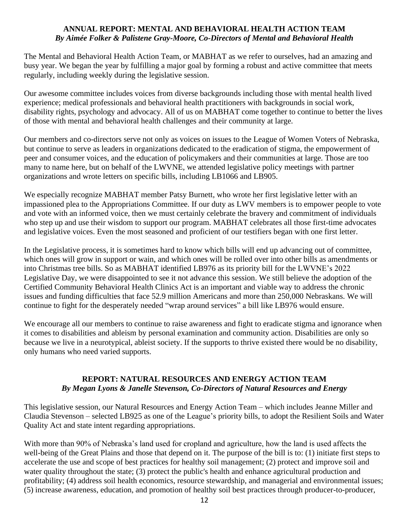#### **ANNUAL REPORT: MENTAL AND BEHAVIORAL HEALTH ACTION TEAM** *By Aimée Folker & Palistene Gray-Moore, Co-Directors of Mental and Behavioral Health*

The Mental and Behavioral Health Action Team, or MABHAT as we refer to ourselves, had an amazing and busy year. We began the year by fulfilling a major goal by forming a robust and active committee that meets regularly, including weekly during the legislative session.

Our awesome committee includes voices from diverse backgrounds including those with mental health lived experience; medical professionals and behavioral health practitioners with backgrounds in social work, disability rights, psychology and advocacy. All of us on MABHAT come together to continue to better the lives of those with mental and behavioral health challenges and their community at large.

Our members and co-directors serve not only as voices on issues to the League of Women Voters of Nebraska, but continue to serve as leaders in organizations dedicated to the eradication of stigma, the empowerment of peer and consumer voices, and the education of policymakers and their communities at large. Those are too many to name here, but on behalf of the LWVNE, we attended legislative policy meetings with partner organizations and wrote letters on specific bills, including LB1066 and LB905.

We especially recognize MABHAT member Patsy Burnett, who wrote her first legislative letter with an impassioned plea to the Appropriations Committee. If our duty as LWV members is to empower people to vote and vote with an informed voice, then we must certainly celebrate the bravery and commitment of individuals who step up and use their wisdom to support our program. MABHAT celebrates all those first-time advocates and legislative voices. Even the most seasoned and proficient of our testifiers began with one first letter.

In the Legislative process, it is sometimes hard to know which bills will end up advancing out of committee, which ones will grow in support or wain, and which ones will be rolled over into other bills as amendments or into Christmas tree bills. So as MABHAT identified LB976 as its priority bill for the LWVNE's 2022 Legislative Day, we were disappointed to see it not advance this session. We still believe the adoption of the Certified Community Behavioral Health Clinics Act is an important and viable way to address the chronic issues and funding difficulties that face 52.9 million Americans and more than 250,000 Nebraskans. We will continue to fight for the desperately needed "wrap around services" a bill like LB976 would ensure.

We encourage all our members to continue to raise awareness and fight to eradicate stigma and ignorance when it comes to disabilities and ableism by personal examination and community action. Disabilities are only so because we live in a neurotypical, ableist society. If the supports to thrive existed there would be no disability, only humans who need varied supports.

### **REPORT: NATURAL RESOURCES AND ENERGY ACTION TEAM** *By Megan Lyons & Janelle Stevenson, Co-Directors of Natural Resources and Energy*

This legislative session, our Natural Resources and Energy Action Team – which includes Jeanne Miller and Claudia Stevenson – selected LB925 as one of the League's priority bills, to adopt the Resilient Soils and Water Quality Act and state intent regarding appropriations.

With more than 90% of Nebraska's land used for cropland and agriculture, how the land is used affects the well-being of the Great Plains and those that depend on it. The purpose of the bill is to: (1) initiate first steps to accelerate the use and scope of best practices for healthy soil management; (2) protect and improve soil and water quality throughout the state; (3) protect the public's health and enhance agricultural production and profitability; (4) address soil health economics, resource stewardship, and managerial and environmental issues; (5) increase awareness, education, and promotion of healthy soil best practices through producer-to-producer,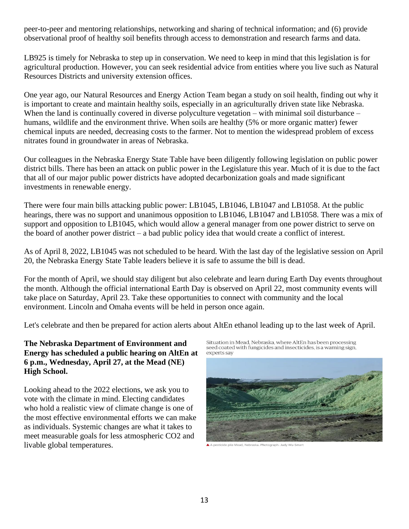peer-to-peer and mentoring relationships, networking and sharing of technical information; and (6) provide observational proof of healthy soil benefits through access to demonstration and research farms and data.

LB925 is timely for Nebraska to step up in conservation. We need to keep in mind that this legislation is for agricultural production. However, you can seek residential advice from entities where you live such as Natural Resources Districts and university extension offices.

One year ago, our Natural Resources and Energy Action Team began a study on soil health, finding out why it is important to create and maintain healthy soils, especially in an agriculturally driven state like Nebraska. When the land is continually covered in diverse polyculture vegetation – with minimal soil disturbance – humans, wildlife and the environment thrive. When soils are healthy (5% or more organic matter) fewer chemical inputs are needed, decreasing costs to the farmer. Not to mention the widespread problem of excess nitrates found in groundwater in areas of Nebraska.

Our colleagues in the Nebraska Energy State Table have been diligently following legislation on public power district bills. There has been an attack on public power in the Legislature this year. Much of it is due to the fact that all of our major public power districts have adopted decarbonization goals and made significant investments in renewable energy.

There were four main bills attacking public power: LB1045, LB1046, LB1047 and LB1058. At the public hearings, there was no support and unanimous opposition to LB1046, LB1047 and LB1058. There was a mix of support and opposition to LB1045, which would allow a general manager from one power district to serve on the board of another power district – a bad public policy idea that would create a conflict of interest.

As of April 8, 2022, LB1045 was not scheduled to be heard. With the last day of the legislative session on April 20, the Nebraska Energy State Table leaders believe it is safe to assume the bill is dead.

For the month of April, we should stay diligent but also celebrate and learn during Earth Day events throughout the month. Although the official international Earth Day is observed on April 22, most community events will take place on Saturday, April 23. Take these opportunities to connect with community and the local environment. Lincoln and Omaha events will be held in person once again.

Let's celebrate and then be prepared for action alerts about AltEn ethanol leading up to the last week of April.

**The Nebraska Department of Environment and Energy has scheduled a public hearing on AltEn at 6 p.m., Wednesday, April 27, at the Mead (NE) High School.**

Looking ahead to the 2022 elections, we ask you to vote with the climate in mind. Electing candidates who hold a realistic view of climate change is one of the most effective environmental efforts we can make as individuals. Systemic changes are what it takes to meet measurable goals for less atmospheric CO2 and livable global temperatures.

Situation in Mead, Nebraska, where AltEn has been processing seed coated with fungicides and insecticides, is a warning sign, experts say



A A pesticide pile Mead, Nebraska, Photograph: Judy Wu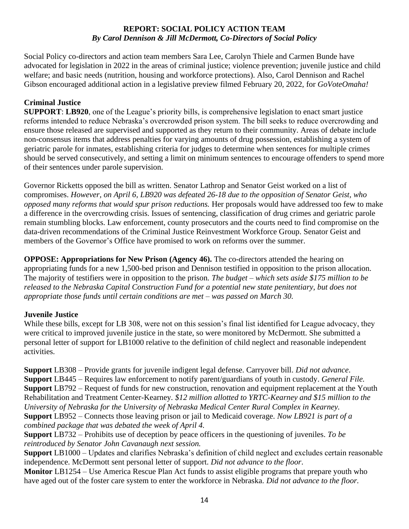### **REPORT: SOCIAL POLICY ACTION TEAM** *By Carol Dennison & Jill McDermott, Co-Directors of Social Policy*

Social Policy co-directors and action team members Sara Lee, Carolyn Thiele and Carmen Bunde have advocated for legislation in 2022 in the areas of criminal justice; violence prevention; juvenile justice and child welfare; and basic needs (nutrition, housing and workforce protections). Also, Carol Dennison and Rachel Gibson encouraged additional action in a legislative preview filmed February 20, 2022, for *GoVoteOmaha!*

### **Criminal Justice**

**SUPPORT**: **LB920**, one of the League's priority bills, is comprehensive legislation to enact smart justice reforms intended to reduce Nebraska's overcrowded prison system. The bill seeks to reduce overcrowding and ensure those released are supervised and supported as they return to their community. Areas of debate include non-consensus items that address penalties for varying amounts of drug possession, establishing a system of geriatric parole for inmates, establishing criteria for judges to determine when sentences for multiple crimes should be served consecutively, and setting a limit on minimum sentences to encourage offenders to spend more of their sentences under parole supervision.

Governor Ricketts opposed the bill as written. Senator Lathrop and Senator Geist worked on a list of compromises. *However, on April 6, LB920 was defeated 26-18 due to the opposition of Senator Geist, who opposed many reforms that would spur prison reductions.* Her proposals would have addressed too few to make a difference in the overcrowding crisis. Issues of sentencing, classification of drug crimes and geriatric parole remain stumbling blocks. Law enforcement, county prosecutors and the courts need to find compromise on the data-driven recommendations of the Criminal Justice Reinvestment Workforce Group. Senator Geist and members of the Governor's Office have promised to work on reforms over the summer.

**OPPOSE: Appropriations for New Prison (Agency 46).** The co-directors attended the hearing on appropriating funds for a new 1,500-bed prison and Dennison testified in opposition to the prison allocation. The majority of testifiers were in opposition to the prison*. The budget – which sets aside \$175 million to be released to the Nebraska Capital Construction Fund for a potential new state penitentiary, but does not appropriate those funds until certain conditions are met – was passed on March 30.*

### **Juvenile Justice**

While these bills, except for LB 308, were not on this session's final list identified for League advocacy, they were critical to improved juvenile justice in the state, so were monitored by McDermott. She submitted a personal letter of support for LB1000 relative to the definition of child neglect and reasonable independent activities.

**Support** LB308 – Provide grants for juvenile indigent legal defense. Carryover bill. *Did not advance*. **Support** LB445 – Requires law enforcement to notify parent/guardians of youth in custody. *General File.* **Support** LB792 – Request of funds for new construction, renovation and equipment replacement at the Youth Rehabilitation and Treatment Center-Kearney*. \$12 million allotted to YRTC-Kearney and \$15 million to the University of Nebraska for the University of Nebraska Medical Center Rural Complex in Kearney.* **Support** LB952 – Connects those leaving prison or jail to Medicaid coverage. *Now LB921 is part of a combined package that was debated the week of April 4.*

**Support** LB732 – Prohibits use of deception by peace officers in the questioning of juveniles. *To be reintroduced by Senator John Cavanaugh next session.*

**Support** LB1000 – Updates and clarifies Nebraska's definition of child neglect and excludes certain reasonable independence. McDermott sent personal letter of support. *Did not advance to the floor*.

**Monitor** LB1254 – Use America Rescue Plan Act funds to assist eligible programs that prepare youth who have aged out of the foster care system to enter the workforce in Nebraska. *Did not advance to the floor.*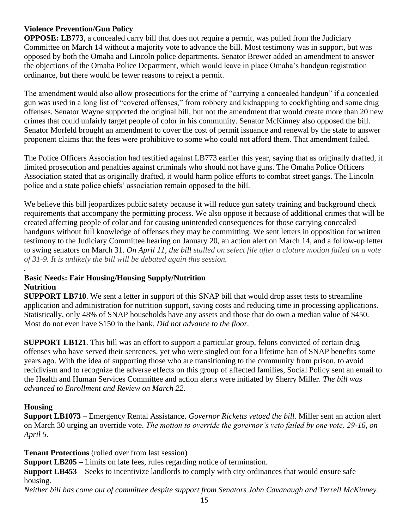### **Violence Prevention/Gun Policy**

**OPPOSE: LB773**, a concealed carry bill that does not require a permit, was pulled from the Judiciary Committee on March 14 without a majority vote to advance the bill. Most testimony was in support, but was opposed by both the Omaha and Lincoln police departments. Senator Brewer added an amendment to answer the objections of the Omaha Police Department, which would leave in place Omaha's handgun registration ordinance, but there would be fewer reasons to reject a permit.

The amendment would also allow prosecutions for the crime of "carrying a concealed handgun" if a concealed gun was used in a long list of "covered offenses," from robbery and kidnapping to cockfighting and some drug offenses. Senator Wayne supported the original bill, but not the amendment that would create more than 20 new crimes that could unfairly target people of color in his community. Senator McKinney also opposed the bill. Senator Morfeld brought an amendment to cover the cost of permit issuance and renewal by the state to answer proponent claims that the fees were prohibitive to some who could not afford them. That amendment failed.

The Police Officers Association had testified against LB773 earlier this year, saying that as originally drafted, it limited prosecution and penalties against criminals who should not have guns. The Omaha Police Officers Association stated that as originally drafted, it would harm police efforts to combat street gangs. The Lincoln police and a state police chiefs' association remain opposed to the bill.

We believe this bill jeopardizes public safety because it will reduce gun safety training and background check requirements that accompany the permitting process. We also oppose it because of additional crimes that will be created affecting people of color and for causing unintended consequences for those carrying concealed handguns without full knowledge of offenses they may be committing. We sent letters in opposition for written testimony to the Judiciary Committee hearing on January 20, an action alert on March 14, and a follow-up letter to swing senators on March 31. *On April 11, the bill stalled on select file after a cloture motion failed on a vote of 31-9. It is unlikely the bill will be debated again this session.*

### **Basic Needs: Fair Housing/Housing Supply/Nutrition Nutrition**

**SUPPORT LB710**. We sent a letter in support of this SNAP bill that would drop asset tests to streamline application and administration for nutrition support, saving costs and reducing time in processing applications. Statistically, only 48% of SNAP households have any assets and those that do own a median value of \$450. Most do not even have \$150 in the bank. *Did not advance to the floor.*

**SUPPORT LB121**. This bill was an effort to support a particular group, felons convicted of certain drug offenses who have served their sentences, yet who were singled out for a lifetime ban of SNAP benefits some years ago. With the idea of supporting those who are transitioning to the community from prison, to avoid recidivism and to recognize the adverse effects on this group of affected families, Social Policy sent an email to the Health and Human Services Committee and action alerts were initiated by Sherry Miller. *The bill was advanced to Enrollment and Review on March 22.*

### **Housing**

*.*

**Support LB1073 –** Emergency Rental Assistance. *Governor Ricketts vetoed the bill.* Miller sent an action alert on March 30 urging an override vote. *The motion to override the governor's veto failed by one vote, 29-16, on April 5.* 

**Tenant Protections** (rolled over from last session)

**Support LB205 –** Limits on late fees, rules regarding notice of termination.

**Support LB453** – Seeks to incentivize landlords to comply with city ordinances that would ensure safe housing.

*Neither bill has come out of committee despite support from Senators John Cavanaugh and Terrell McKinney.*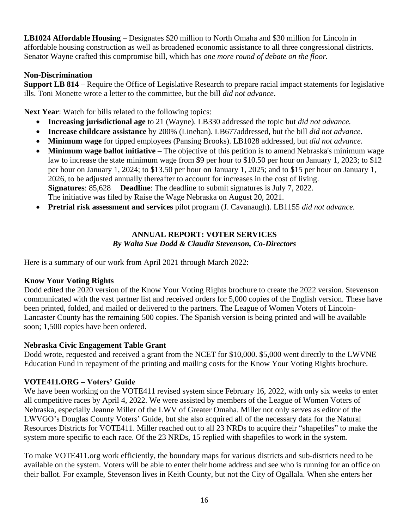**LB1024 Affordable Housing** – Designates \$20 million to North Omaha and \$30 million for Lincoln in affordable housing construction as well as broadened economic assistance to all three congressional districts. Senator Wayne crafted this compromise bill, which has *one more round of debate on the floor.*

### **Non-Discrimination**

**Support LB 814** – Require the Office of Legislative Research to prepare racial impact statements for legislative ills. Toni Monette wrote a letter to the committee, but the bill *did not advance*.

**Next Year:** Watch for bills related to the following topics:

- **Increasing jurisdictional age** to 21 (Wayne). LB330 addressed the topic but *did not advance.*
- **Increase childcare assistance** by 200% (Linehan). LB677addressed, but the bill *did not advance*.
- **Minimum wage** for tipped employees (Pansing Brooks). LB1028 addressed, but *did not advance*.
- **Minimum wage ballot initiative** The objective of this petition is to amend Nebraska's minimum wage law to increase the state minimum wage from \$9 per hour to \$10.50 per hour on January 1, 2023; to \$12 per hour on January 1, 2024; to \$13.50 per hour on January 1, 2025; and to \$15 per hour on January 1, 2026, to be adjusted annually thereafter to account for increases in the cost of living. **Signatures**: 85,628 **Deadline**: The deadline to submit signatures is July 7, 2022. The initiative was filed by Raise the Wage Nebraska on August 20, 2021.
- **Pretrial risk assessment and services** pilot program (J. Cavanaugh). LB1155 *did not advance.*

### **ANNUAL REPORT: VOTER SERVICES** *By Walta Sue Dodd & Claudia Stevenson, Co-Directors*

Here is a summary of our work from April 2021 through March 2022:

### **Know Your Voting Rights**

Dodd edited the 2020 version of the Know Your Voting Rights brochure to create the 2022 version. Stevenson communicated with the vast partner list and received orders for 5,000 copies of the English version. These have been printed, folded, and mailed or delivered to the partners. The League of Women Voters of Lincoln-Lancaster County has the remaining 500 copies. The Spanish version is being printed and will be available soon; 1,500 copies have been ordered.

### **Nebraska Civic Engagement Table Grant**

Dodd wrote, requested and received a grant from the NCET for \$10,000. \$5,000 went directly to the LWVNE Education Fund in repayment of the printing and mailing costs for the Know Your Voting Rights brochure.

### **VOTE411.ORG – Voters' Guide**

We have been working on the VOTE411 revised system since February 16, 2022, with only six weeks to enter all competitive races by April 4, 2022. We were assisted by members of the League of Women Voters of Nebraska, especially Jeanne Miller of the LWV of Greater Omaha. Miller not only serves as editor of the LWVGO's Douglas County Voters' Guide, but she also acquired all of the necessary data for the Natural Resources Districts for VOTE411. Miller reached out to all 23 NRDs to acquire their "shapefiles" to make the system more specific to each race. Of the 23 NRDs, 15 replied with shapefiles to work in the system.

To make VOTE411.org work efficiently, the boundary maps for various districts and sub-districts need to be available on the system. Voters will be able to enter their home address and see who is running for an office on their ballot. For example, Stevenson lives in Keith County, but not the City of Ogallala. When she enters her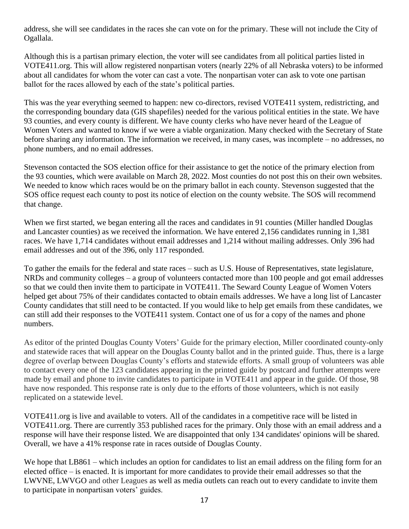address, she will see candidates in the races she can vote on for the primary. These will not include the City of Ogallala.

Although this is a partisan primary election, the voter will see candidates from all political parties listed in VOTE411.org. This will allow registered nonpartisan voters (nearly 22% of all Nebraska voters) to be informed about all candidates for whom the voter can cast a vote. The nonpartisan voter can ask to vote one partisan ballot for the races allowed by each of the state's political parties.

This was the year everything seemed to happen: new co-directors, revised VOTE411 system, redistricting, and the corresponding boundary data (GIS shapefiles) needed for the various political entities in the state. We have 93 counties, and every county is different. We have county clerks who have never heard of the League of Women Voters and wanted to know if we were a viable organization. Many checked with the Secretary of State before sharing any information. The information we received, in many cases, was incomplete – no addresses, no phone numbers, and no email addresses.

Stevenson contacted the SOS election office for their assistance to get the notice of the primary election from the 93 counties, which were available on March 28, 2022. Most counties do not post this on their own websites. We needed to know which races would be on the primary ballot in each county. Stevenson suggested that the SOS office request each county to post its notice of election on the county website. The SOS will recommend that change.

When we first started, we began entering all the races and candidates in 91 counties (Miller handled Douglas and Lancaster counties) as we received the information. We have entered 2,156 candidates running in 1,381 races. We have 1,714 candidates without email addresses and 1,214 without mailing addresses. Only 396 had email addresses and out of the 396, only 117 responded.

To gather the emails for the federal and state races – such as U.S. House of Representatives, state legislature, NRDs and community colleges – a group of volunteers contacted more than 100 people and got email addresses so that we could then invite them to participate in VOTE411. The Seward County League of Women Voters helped get about 75% of their candidates contacted to obtain emails addresses. We have a long list of Lancaster County candidates that still need to be contacted. If you would like to help get emails from these candidates, we can still add their responses to the VOTE411 system. Contact one of us for a copy of the names and phone numbers.

As editor of the printed Douglas County Voters' Guide for the primary election, Miller coordinated county-only and statewide races that will appear on the Douglas County ballot and in the printed guide. Thus, there is a large degree of overlap between Douglas County's efforts and statewide efforts. A small group of volunteers was able to contact every one of the 123 candidates appearing in the printed guide by postcard and further attempts were made by email and phone to invite candidates to participate in VOTE411 and appear in the guide. Of those, 98 have now responded. This response rate is only due to the efforts of those volunteers, which is not easily replicated on a statewide level.

VOTE411.org is live and available to voters. All of the candidates in a competitive race will be listed in VOTE411.org. There are currently 353 published races for the primary. Only those with an email address and a response will have their response listed. We are disappointed that only 134 candidates' opinions will be shared. Overall, we have a 41% response rate in races outside of Douglas County.

We hope that LB861 – which includes an option for candidates to list an email address on the filing form for an elected office – is enacted. It is important for more candidates to provide their email addresses so that the LWVNE, LWVGO and other Leagues as well as media outlets can reach out to every candidate to invite them to participate in nonpartisan voters' guides.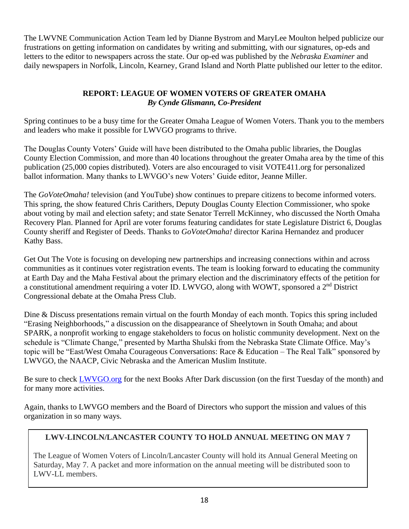The LWVNE Communication Action Team led by Dianne Bystrom and MaryLee Moulton helped publicize our frustrations on getting information on candidates by writing and submitting, with our signatures, op-eds and letters to the editor to newspapers across the state. Our op-ed was published by the *Nebraska Examiner* and daily newspapers in Norfolk, Lincoln, Kearney, Grand Island and North Platte published our letter to the editor.

### **REPORT: LEAGUE OF WOMEN VOTERS OF GREATER OMAHA** *By Cynde Glismann, Co-President*

Spring continues to be a busy time for the Greater Omaha League of Women Voters. Thank you to the members and leaders who make it possible for LWVGO programs to thrive.

The Douglas County Voters' Guide will have been distributed to the Omaha public libraries, the Douglas County Election Commission, and more than 40 locations throughout the greater Omaha area by the time of this publication (25,000 copies distributed). Voters are also encouraged to visit VOTE411.org for personalized ballot information. Many thanks to LWVGO's new Voters' Guide editor, Jeanne Miller.

The *GoVoteOmaha!* television (and YouTube) show continues to prepare citizens to become informed voters. This spring, the show featured Chris Carithers, Deputy Douglas County Election Commissioner, who spoke about voting by mail and election safety; and state Senator Terrell McKinney, who discussed the North Omaha Recovery Plan. Planned for April are voter forums featuring candidates for state Legislature District 6, Douglas County sheriff and Register of Deeds. Thanks to *GoVoteOmaha!* director Karina Hernandez and producer Kathy Bass.

Get Out The Vote is focusing on developing new partnerships and increasing connections within and across communities as it continues voter registration events. The team is looking forward to educating the community at Earth Day and the Maha Festival about the primary election and the discriminatory effects of the petition for a constitutional amendment requiring a voter ID. LWVGO, along with WOWT, sponsored a 2<sup>nd</sup> District Congressional debate at the Omaha Press Club.

Dine & Discuss presentations remain virtual on the fourth Monday of each month. Topics this spring included "Erasing Neighborhoods," a discussion on the disappearance of Sheelytown in South Omaha; and about SPARK, a nonprofit working to engage stakeholders to focus on holistic community development. Next on the schedule is "Climate Change," presented by Martha Shulski from the Nebraska State Climate Office. May's topic will be "East/West Omaha Courageous Conversations: Race & Education – The Real Talk" sponsored by LWVGO, the NAACP, Civic Nebraska and the American Muslim Institute.

Be sure to check [LWVGO.org](https://www.lwvgo.org/) for the next Books After Dark discussion (on the first Tuesday of the month) and for many more activities.

Again, thanks to LWVGO members and the Board of Directors who support the mission and values of this organization in so many ways.

# **LWV-LINCOLN/LANCASTER COUNTY TO HOLD ANNUAL MEETING ON MAY 7**

The League of Women Voters of Lincoln/Lancaster County will hold its Annual General Meeting on Saturday, May 7. A packet and more information on the annual meeting will be distributed soon to LWV-LL members.